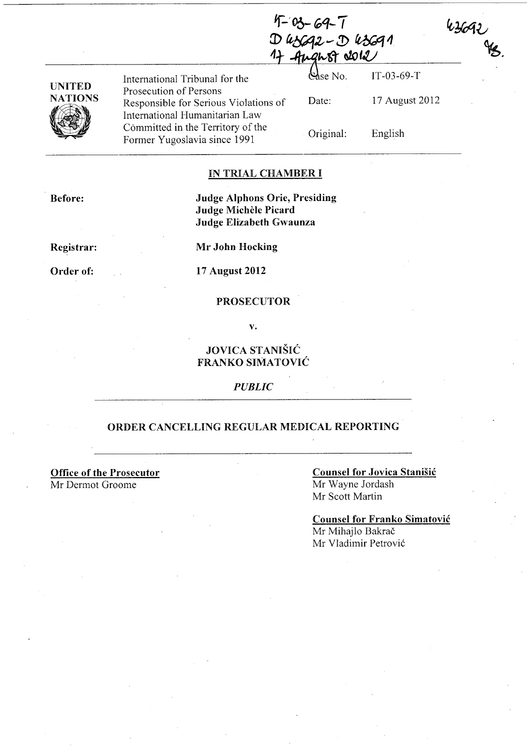$4 - 03 - 69 - 7$  $D$  uscar -  $D$  uscan 17 August 2012

| UNITED  |
|---------|
| NATIONS |
|         |

International Tribunal for the Prosecution of Persons Responsible for Serious Violations of International Humanitarian Law Committed in the Territory of the Former Yugoslavia since 1991

IT-03-69-T &lse No. Date: 17 August 2012

Original:

English

 $\frac{43692}{98}$ 

## IN TRIAL CHAMBER I

Before:

Judge Alphons Orie, Presiding **Judge Michèle Picard** Judge Elizabeth Gwaunza

Registrar:

Order of:

Mr John Hocking

17 August 2012

#### PROSECUTOR

v.

# JOVICA STANIŠIĆ FRANKO SIMATOVIC

*PUBLIC* 

# ORDER CANCELLING REGULAR MEDICAL REPORTING

Office of the Prosecutor Mr Dermot Groome

## Counsel for Jovica Stanišić Mr Wayne Jordash Mr Scott Martin

Counsel for Franko Simatovic Mr Mihajlo Bakrač Mr Vladimir Petrovic